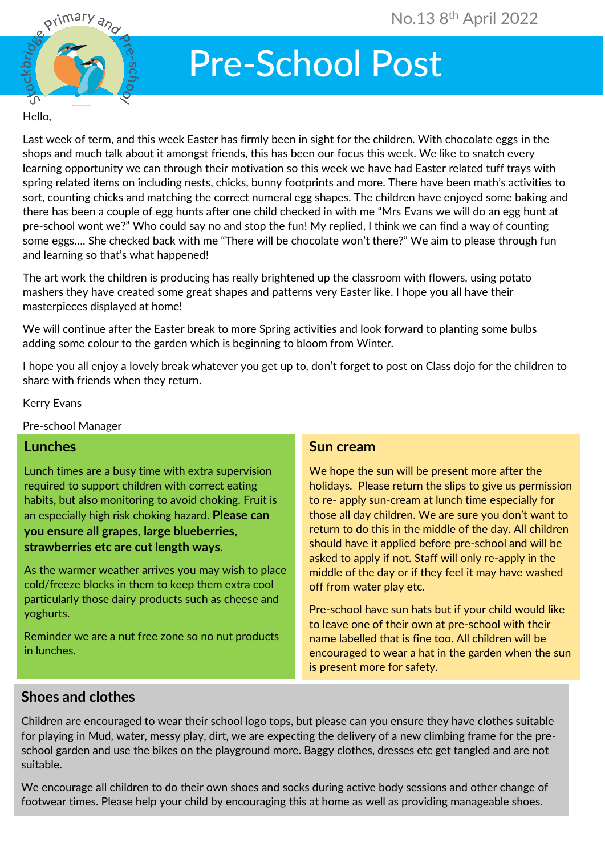

# Pre-School Post

#### Hello,

Last week of term, and this week Easter has firmly been in sight for the children. With chocolate eggs in the shops and much talk about it amongst friends, this has been our focus this week. We like to snatch every learning opportunity we can through their motivation so this week we have had Easter related tuff trays with spring related items on including nests, chicks, bunny footprints and more. There have been math's activities to sort, counting chicks and matching the correct numeral egg shapes. The children have enjoyed some baking and there has been a couple of egg hunts after one child checked in with me "Mrs Evans we will do an egg hunt at pre-school wont we?" Who could say no and stop the fun! My replied, I think we can find a way of counting some eggs…. She checked back with me "There will be chocolate won't there?" We aim to please through fun and learning so that's what happened!

The art work the children is producing has really brightened up the classroom with flowers, using potato mashers they have created some great shapes and patterns very Easter like. I hope you all have their masterpieces displayed at home!

We will continue after the Easter break to more Spring activities and look forward to planting some bulbs adding some colour to the garden which is beginning to bloom from Winter.

I hope you all enjoy a lovely break whatever you get up to, don't forget to post on Class dojo for the children to share with friends when they return.

#### Kerry Evans

Pre-school Manager

# **Lunches**

Lunch times are a busy time with extra supervision required to support children with correct eating habits, but also monitoring to avoid choking. Fruit is an especially high risk choking hazard. **Please can you ensure all grapes, large blueberries, strawberries etc are cut length ways**.

As the warmer weather arrives you may wish to place cold/freeze blocks in them to keep them extra cool particularly those dairy products such as cheese and yoghurts.

 Reminder we are a nut free zone so no nut products in lunches.

### **Sun cream**

We hope the sun will be present more after the holidays. Please return the slips to give us permission to re- apply sun-cream at lunch time especially for those all day children. We are sure you don't want to return to do this in the middle of the day. All children should have it applied before pre-school and will be asked to apply if not. Staff will only re-apply in the middle of the day or if they feel it may have washed off from water play etc.

Pre-school have sun hats but if your child would like to leave one of their own at pre-school with their name labelled that is fine too. All children will be encouraged to wear a hat in the garden when the sun is present more for safety.

# **Shoes and clothes**

Ī

Children are encouraged to wear their school logo tops, but please can you ensure they have clothes suitable for playing in Mud, water, messy play, dirt, we are expecting the delivery of a new climbing frame for the preschool garden and use the bikes on the playground more. Baggy clothes, dresses etc get tangled and are not suitable.

We encourage all children to do their own shoes and socks during active body sessions and other change of footwear times. Please help your child by encouraging this at home as well as providing manageable shoes.